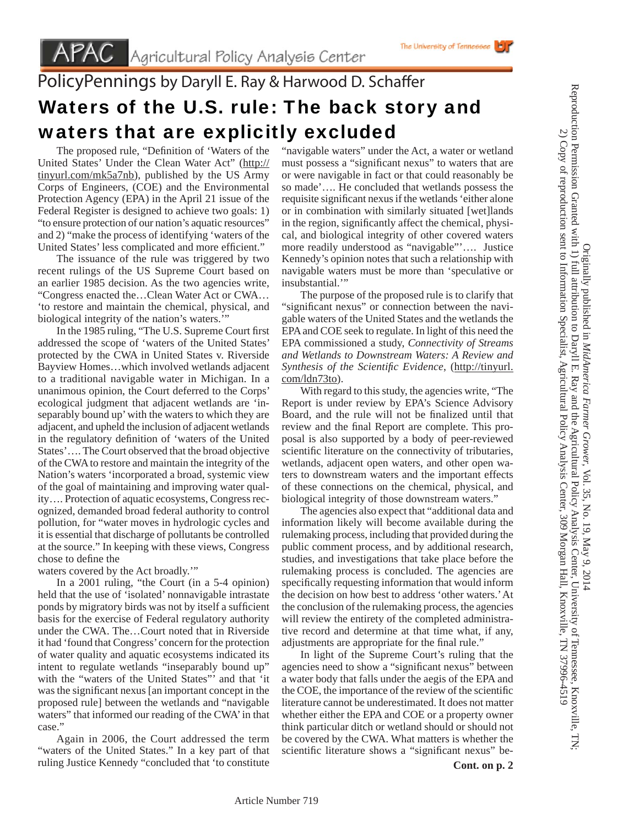## PolicyPennings by Daryll E. Ray & Harwood D. Schaffer Waters of the U.S. rule: The back story and waters that are explicitly excluded

The proposed rule, "Definition of 'Waters of the United States' Under the Clean Water Act" (http:// tinyurl.com/mk5a7nb), published by the US Army Corps of Engineers, (COE) and the Environmental Protection Agency (EPA) in the April 21 issue of the Federal Register is designed to achieve two goals: 1) "to ensure protection of our nation's aquatic resources" and 2) "make the process of identifying 'waters of the United States' less complicated and more efficient."

 The issuance of the rule was triggered by two recent rulings of the US Supreme Court based on an earlier 1985 decision. As the two agencies write, "Congress enacted the…Clean Water Act or CWA… 'to restore and maintain the chemical, physical, and biological integrity of the nation's waters.'

In the 1985 ruling, "The U.S. Supreme Court first addressed the scope of 'waters of the United States' protected by the CWA in United States v. Riverside Bayview Homes…which involved wetlands adjacent to a traditional navigable water in Michigan. In a unanimous opinion, the Court deferred to the Corps' ecological judgment that adjacent wetlands are 'inseparably bound up' with the waters to which they are adjacent, and upheld the inclusion of adjacent wetlands in the regulatory definition of 'waters of the United States'…. The Court observed that the broad objective of the CWA to restore and maintain the integrity of the Nation's waters 'incorporated a broad, systemic view of the goal of maintaining and improving water quality…. Protection of aquatic ecosystems, Congress recognized, demanded broad federal authority to control pollution, for "water moves in hydrologic cycles and it is essential that discharge of pollutants be controlled at the source." In keeping with these views, Congress chose to define the

waters covered by the Act broadly.'"

 In a 2001 ruling, "the Court (in a 5-4 opinion) held that the use of 'isolated' nonnavigable intrastate ponds by migratory birds was not by itself a sufficient basis for the exercise of Federal regulatory authority under the CWA. The…Court noted that in Riverside it had 'found that Congress' concern for the protection of water quality and aquatic ecosystems indicated its intent to regulate wetlands "inseparably bound up" with the "waters of the United States"' and that 'it was the significant nexus [an important concept in the proposed rule] between the wetlands and "navigable waters" that informed our reading of the CWA' in that case."

 Again in 2006, the Court addressed the term "waters of the United States." In a key part of that ruling Justice Kennedy "concluded that 'to constitute

"navigable waters" under the Act, a water or wetland must possess a "significant nexus" to waters that are or were navigable in fact or that could reasonably be so made'…. He concluded that wetlands possess the requisite significant nexus if the wetlands 'either alone or in combination with similarly situated [wet]lands in the region, significantly affect the chemical, physical, and biological integrity of other covered waters more readily understood as "navigable"'…. Justice Kennedy's opinion notes that such a relationship with navigable waters must be more than 'speculative or insubstantial."

 The purpose of the proposed rule is to clarify that "significant nexus" or connection between the navigable waters of the United States and the wetlands the EPA and COE seek to regulate. In light of this need the EPA commissioned a study, *Connectivity of Streams and Wetlands to Downstream Waters: A Review and Synthesis of the Scientifi c Evidence*, (http://tinyurl. com/ldn73to).

 With regard to this study, the agencies write, "The Report is under review by EPA's Science Advisory Board, and the rule will not be finalized until that review and the final Report are complete. This proposal is also supported by a body of peer-reviewed scientific literature on the connectivity of tributaries, wetlands, adjacent open waters, and other open waters to downstream waters and the important effects of these connections on the chemical, physical, and biological integrity of those downstream waters."

 The agencies also expect that "additional data and information likely will become available during the rulemaking process, including that provided during the public comment process, and by additional research, studies, and investigations that take place before the rulemaking process is concluded. The agencies are specifically requesting information that would inform the decision on how best to address 'other waters.' At the conclusion of the rulemaking process, the agencies will review the entirety of the completed administrative record and determine at that time what, if any, adjustments are appropriate for the final rule."

 In light of the Supreme Court's ruling that the agencies need to show a "significant nexus" between a water body that falls under the aegis of the EPA and the COE, the importance of the review of the scientific literature cannot be underestimated. It does not matter whether either the EPA and COE or a property owner think particular ditch or wetland should or should not be covered by the CWA. What matters is whether the scientific literature shows a "significant nexus" be-